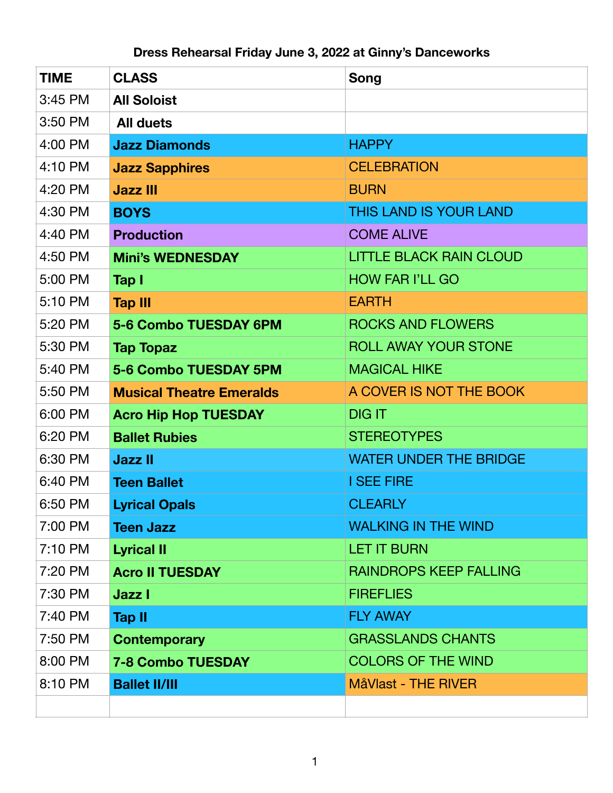## **Dress Rehearsal Friday June 3, 2022 at Ginny's Danceworks**

| <b>TIME</b> | <b>CLASS</b>                    | Song                           |
|-------------|---------------------------------|--------------------------------|
| 3:45 PM     | <b>All Soloist</b>              |                                |
| 3:50 PM     | <b>All duets</b>                |                                |
| 4:00 PM     | <b>Jazz Diamonds</b>            | <b>HAPPY</b>                   |
| 4:10 PM     | <b>Jazz Sapphires</b>           | <b>CELEBRATION</b>             |
| 4:20 PM     | <b>Jazz III</b>                 | <b>BURN</b>                    |
| 4:30 PM     | <b>BOYS</b>                     | <b>THIS LAND IS YOUR LAND</b>  |
| 4:40 PM     | <b>Production</b>               | <b>COME ALIVE</b>              |
| 4:50 PM     | <b>Mini's WEDNESDAY</b>         | <b>LITTLE BLACK RAIN CLOUD</b> |
| 5:00 PM     | Tap I                           | <b>HOW FAR I'LL GO</b>         |
| 5:10 PM     | <b>Tap III</b>                  | <b>EARTH</b>                   |
| 5:20 PM     | 5-6 Combo TUESDAY 6PM           | <b>ROCKS AND FLOWERS</b>       |
| 5:30 PM     | <b>Tap Topaz</b>                | <b>ROLL AWAY YOUR STONE</b>    |
| 5:40 PM     | 5-6 Combo TUESDAY 5PM           | <b>MAGICAL HIKE</b>            |
| 5:50 PM     | <b>Musical Theatre Emeralds</b> | A COVER IS NOT THE BOOK        |
| 6:00 PM     | <b>Acro Hip Hop TUESDAY</b>     | <b>DIG IT</b>                  |
| 6:20 PM     | <b>Ballet Rubies</b>            | <b>STEREOTYPES</b>             |
| 6:30 PM     | <b>Jazz II</b>                  | <b>WATER UNDER THE BRIDGE</b>  |
| 6:40 PM     | <b>Teen Ballet</b>              | <b>I SEE FIRE</b>              |
| 6:50 PM     | <b>Lyrical Opals</b>            | <b>CLEARLY</b>                 |
| 7:00 PM     | <b>Teen Jazz</b>                | <b>WALKING IN THE WIND</b>     |
| 7:10 PM     | <b>Lyrical II</b>               | <b>LET IT BURN</b>             |
| 7:20 PM     | <b>Acro II TUESDAY</b>          | <b>RAINDROPS KEEP FALLING</b>  |
| 7:30 PM     | Jazz I                          | <b>FIREFLIES</b>               |
| 7:40 PM     | <b>Tap II</b>                   | <b>FLY AWAY</b>                |
| 7:50 PM     | <b>Contemporary</b>             | <b>GRASSLANDS CHANTS</b>       |
| 8:00 PM     | <b>7-8 Combo TUESDAY</b>        | <b>COLORS OF THE WIND</b>      |
| 8:10 PM     | <b>Ballet II/III</b>            | MåVlast - THE RIVER            |
|             |                                 |                                |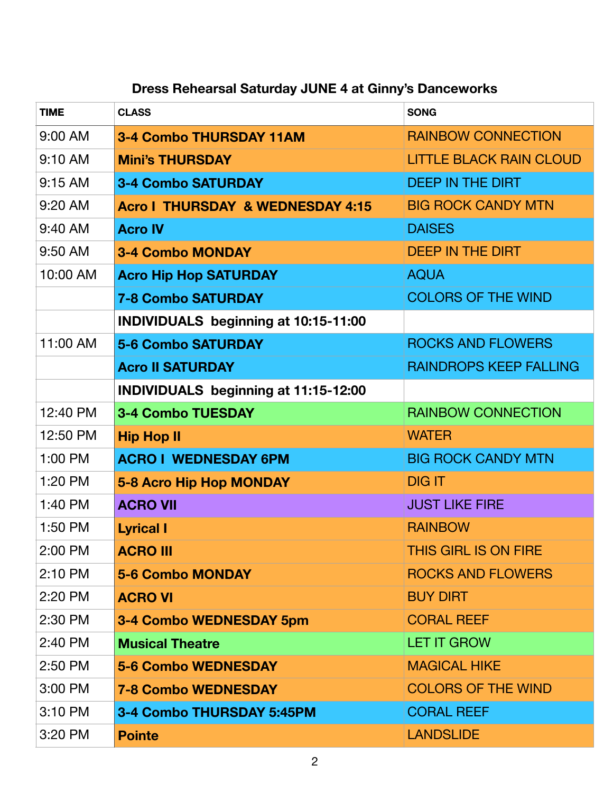## **Dress Rehearsal Saturday JUNE 4 at Ginny's Danceworks**

| <b>TIME</b> | <b>CLASS</b>                                | <b>SONG</b>                    |
|-------------|---------------------------------------------|--------------------------------|
| 9:00 AM     | <b>3-4 Combo THURSDAY 11AM</b>              | <b>RAINBOW CONNECTION</b>      |
| 9:10 AM     | <b>Mini's THURSDAY</b>                      | <b>LITTLE BLACK RAIN CLOUD</b> |
| 9:15 AM     | <b>3-4 Combo SATURDAY</b>                   | <b>DEEP IN THE DIRT</b>        |
| 9:20 AM     | <b>Acro I THURSDAY &amp; WEDNESDAY 4:15</b> | <b>BIG ROCK CANDY MTN</b>      |
| 9:40 AM     | <b>Acro IV</b>                              | <b>DAISES</b>                  |
| 9:50 AM     | <b>3-4 Combo MONDAY</b>                     | <b>DEEP IN THE DIRT</b>        |
| 10:00 AM    | <b>Acro Hip Hop SATURDAY</b>                | <b>AQUA</b>                    |
|             | <b>7-8 Combo SATURDAY</b>                   | <b>COLORS OF THE WIND</b>      |
|             | <b>INDIVIDUALS</b> beginning at 10:15-11:00 |                                |
| 11:00 AM    | <b>5-6 Combo SATURDAY</b>                   | <b>ROCKS AND FLOWERS</b>       |
|             | <b>Acro II SATURDAY</b>                     | <b>RAINDROPS KEEP FALLING</b>  |
|             | INDIVIDUALS beginning at 11:15-12:00        |                                |
| 12:40 PM    | <b>3-4 Combo TUESDAY</b>                    | <b>RAINBOW CONNECTION</b>      |
| 12:50 PM    | <b>Hip Hop II</b>                           | <b>WATER</b>                   |
| 1:00 PM     | <b>ACRO I WEDNESDAY 6PM</b>                 | <b>BIG ROCK CANDY MTN</b>      |
| 1:20 PM     | 5-8 Acro Hip Hop MONDAY                     | <b>DIG IT</b>                  |
| 1:40 PM     | <b>ACRO VII</b>                             | <b>JUST LIKE FIRE</b>          |
| 1:50 PM     | <b>Lyrical I</b>                            | <b>RAINBOW</b>                 |
| 2:00 PM     | <b>ACRO III</b>                             | THIS GIRL IS ON FIRE           |
| 2:10 PM     | <b>5-6 Combo MONDAY</b>                     | <b>ROCKS AND FLOWERS</b>       |
| 2:20 PM     | <b>ACRO VI</b>                              | <b>BUY DIRT</b>                |
| 2:30 PM     | 3-4 Combo WEDNESDAY 5pm                     | <b>CORAL REEF</b>              |
| 2:40 PM     | <b>Musical Theatre</b>                      | <b>LET IT GROW</b>             |
| 2:50 PM     | <b>5-6 Combo WEDNESDAY</b>                  | <b>MAGICAL HIKE</b>            |
| 3:00 PM     | <b>7-8 Combo WEDNESDAY</b>                  | <b>COLORS OF THE WIND</b>      |
| 3:10 PM     | 3-4 Combo THURSDAY 5:45PM                   | <b>CORAL REEF</b>              |
| 3:20 PM     | <b>Pointe</b>                               | <b>LANDSLIDE</b>               |